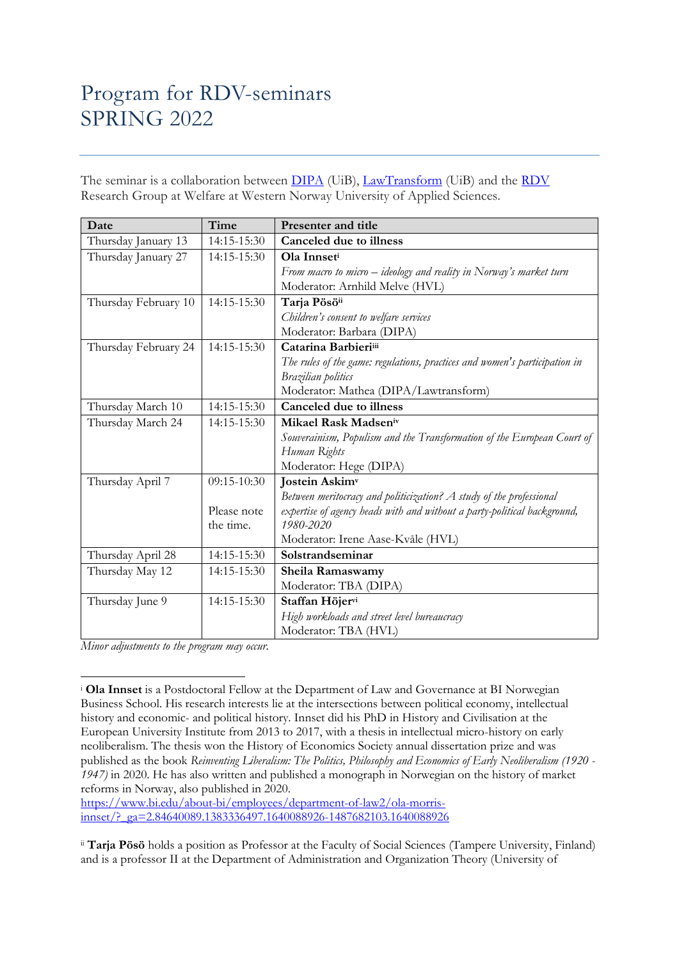## Program for RDV-seminars SPRING 2022

The seminar is a collaboration between **DIPA** (UiB), [LawTransform](https://www.lawtransform.no/) (UiB) and the [RDV](https://www.hvl.no/en/research/group/law-democracy-and-welfare/) Research Group at Welfare at Western Norway University of Applied Sciences.

| Date                 | Time        | <b>Presenter and title</b>                                                 |
|----------------------|-------------|----------------------------------------------------------------------------|
| Thursday January 13  | 14:15-15:30 | Canceled due to illness                                                    |
| Thursday January 27  | 14:15-15:30 | Ola Innseti                                                                |
|                      |             | From macro to micro $-$ ideology and reality in Norway's market turn       |
|                      |             | Moderator: Arnhild Melve (HVL)                                             |
| Thursday February 10 | 14:15-15:30 | Tarja Pösöii                                                               |
|                      |             | Children's consent to welfare services                                     |
|                      |             | Moderator: Barbara (DIPA)                                                  |
| Thursday February 24 | 14:15-15:30 | Catarina Barbieriiii                                                       |
|                      |             | The rules of the game: regulations, practices and women's participation in |
|                      |             | Brazilian politics                                                         |
|                      |             | Moderator: Mathea (DIPA/Lawtransform)                                      |
| Thursday March 10    | 14:15-15:30 | <b>Canceled due to illness</b>                                             |
| Thursday March 24    | 14:15-15:30 | Mikael Rask Madseniv                                                       |
|                      |             | Souverainism, Populism and the Transformation of the European Court of     |
|                      |             | Human Rights                                                               |
|                      |             | Moderator: Hege (DIPA)                                                     |
| Thursday April 7     | 09:15-10:30 | <b>Jostein Askimv</b>                                                      |
|                      |             | Between meritocracy and politicization? A study of the professional        |
|                      | Please note | expertise of agency heads with and without a party-political background,   |
|                      | the time.   | 1980-2020                                                                  |
|                      |             | Moderator: Irene Aase-Kvåle (HVL)                                          |
| Thursday April 28    | 14:15-15:30 | Solstrandseminar                                                           |
| Thursday May 12      | 14:15-15:30 | Sheila Ramaswamy                                                           |
|                      |             | Moderator: TBA (DIPA)                                                      |
| Thursday June 9      | 14:15-15:30 | Staffan Höjervi                                                            |
|                      |             | High workloads and street level bureaucracy                                |
|                      |             | Moderator: TBA (HVL)                                                       |

*Minor adjustments to the program may occur.*

[https://www.bi.edu/about-bi/employees/department-of-law2/ola-morris](https://www.bi.edu/about-bi/employees/department-of-law2/ola-morris-innset/?_ga=2.84640089.1383336497.1640088926-1487682103.1640088926)[innset/?\\_ga=2.84640089.1383336497.1640088926-1487682103.1640088926](https://www.bi.edu/about-bi/employees/department-of-law2/ola-morris-innset/?_ga=2.84640089.1383336497.1640088926-1487682103.1640088926)

<sup>i</sup> **Ola Innset** is a Postdoctoral Fellow at the Department of Law and Governance at BI Norwegian Business School. His research interests lie at the intersections between political economy, intellectual history and economic- and political history. Innset did his PhD in History and Civilisation at the European University Institute from 2013 to 2017, with a thesis in intellectual micro-history on early neoliberalism. The thesis won the History of Economics Society annual dissertation prize and was published as the book *Reinventing Liberalism: The Politics, Philosophy and Economics of Early Neoliberalism (1920 - 1947)* in 2020. He has also written and published a monograph in Norwegian on the history of market reforms in Norway, also published in 2020.

ii **Tarja Pösö** holds a position as Professor at the Faculty of Social Sciences (Tampere University, Finland) and is a professor II at the Department of Administration and Organization Theory (University of